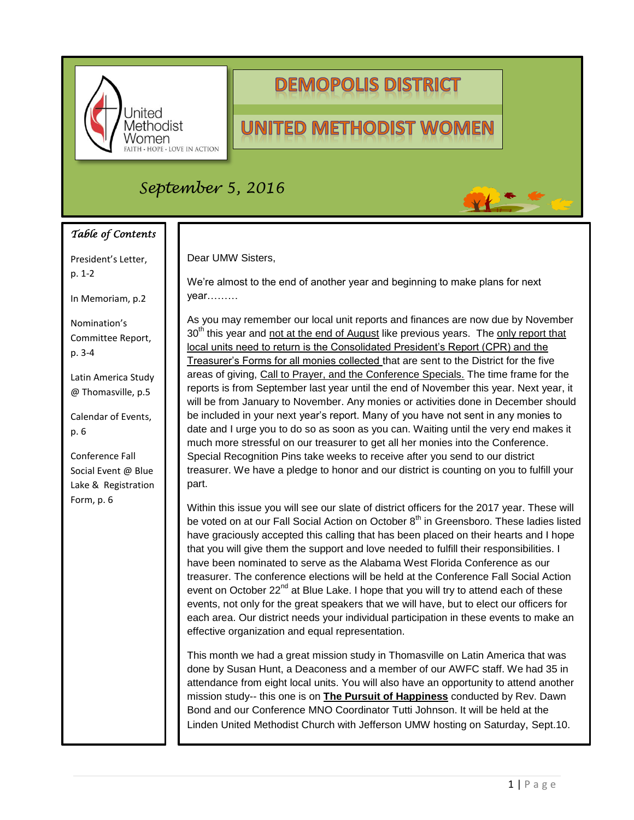

# **DEMOPOLIS DISTRICT**

# **UNITED METHODIST WOMEN**

## *September 5, 2016*

### *Table of Contents*

President's Letter, p. 1-2

In Memoriam, p.2

Nomination's Committee Report, p. 3-4

Latin America Study @ Thomasville, p.5

Calendar of Events, p. 6

Conference Fall Social Event @ Blue Lake & Registration Form, p. 6

#### Dear UMW Sisters,

We're almost to the end of another year and beginning to make plans for next year………

As you may remember our local unit reports and finances are now due by November  $30<sup>th</sup>$  this year and not at the end of August like previous years. The only report that local units need to return is the Consolidated President's Report (CPR) and the Treasurer's Forms for all monies collected that are sent to the District for the five areas of giving, Call to Prayer, and the Conference Specials. The time frame for the reports is from September last year until the end of November this year. Next year, it will be from January to November. Any monies or activities done in December should be included in your next year's report. Many of you have not sent in any monies to date and I urge you to do so as soon as you can. Waiting until the very end makes it much more stressful on our treasurer to get all her monies into the Conference. Special Recognition Pins take weeks to receive after you send to our district treasurer. We have a pledge to honor and our district is counting on you to fulfill your part.

Within this issue you will see our slate of district officers for the 2017 year. These will be voted on at our Fall Social Action on October 8<sup>th</sup> in Greensboro. These ladies listed have graciously accepted this calling that has been placed on their hearts and I hope that you will give them the support and love needed to fulfill their responsibilities. I have been nominated to serve as the Alabama West Florida Conference as our treasurer. The conference elections will be held at the Conference Fall Social Action event on October 22<sup>nd</sup> at Blue Lake. I hope that you will try to attend each of these events, not only for the great speakers that we will have, but to elect our officers for each area. Our district needs your individual participation in these events to make an effective organization and equal representation.

This month we had a great mission study in Thomasville on Latin America that was done by Susan Hunt, a Deaconess and a member of our AWFC staff. We had 35 in attendance from eight local units. You will also have an opportunity to attend another mission study-- this one is on **The Pursuit of Happiness** conducted by Rev. Dawn Bond and our Conference MNO Coordinator Tutti Johnson. It will be held at the Linden United Methodist Church with Jefferson UMW hosting on Saturday, Sept.10.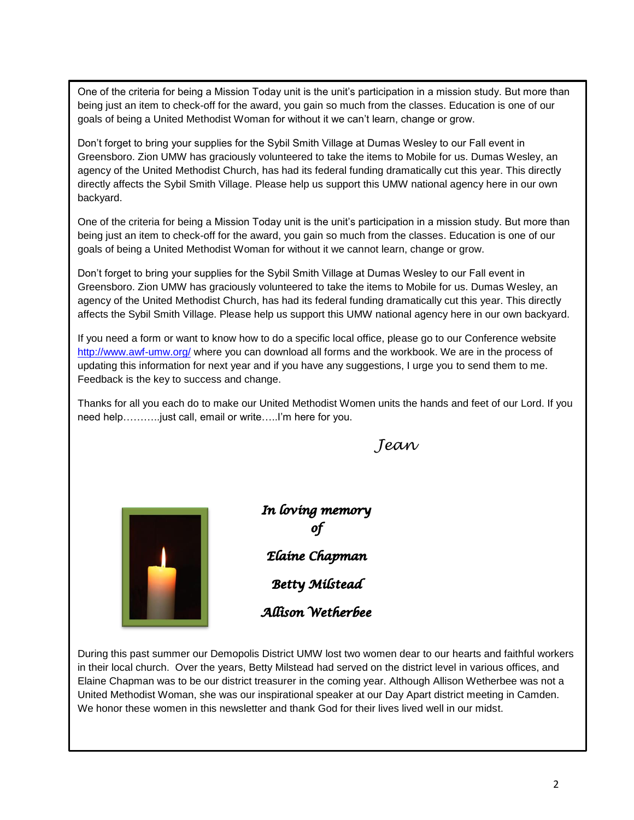One of the criteria for being a Mission Today unit is the unit's participation in a mission study. But more than being just an item to check-off for the award, you gain so much from the classes. Education is one of our goals of being a United Methodist Woman for without it we can't learn, change or grow.

Don't forget to bring your supplies for the Sybil Smith Village at Dumas Wesley to our Fall event in Greensboro. Zion UMW has graciously volunteered to take the items to Mobile for us. Dumas Wesley, an agency of the United Methodist Church, has had its federal funding dramatically cut this year. This directly directly affects the Sybil Smith Village. Please help us support this UMW national agency here in our own backyard.

One of the criteria for being a Mission Today unit is the unit's participation in a mission study. But more than being just an item to check-off for the award, you gain so much from the classes. Education is one of our goals of being a United Methodist Woman for without it we cannot learn, change or grow.

Don't forget to bring your supplies for the Sybil Smith Village at Dumas Wesley to our Fall event in Greensboro. Zion UMW has graciously volunteered to take the items to Mobile for us. Dumas Wesley, an agency of the United Methodist Church, has had its federal funding dramatically cut this year. This directly affects the Sybil Smith Village. Please help us support this UMW national agency here in our own backyard.

If you need a form or want to know how to do a specific local office, please go to our Conference website http://www.awf-umw.org/ where you can download all forms and the workbook. We are in the process of updating this information for next year and if you have any suggestions, I urge you to send them to me. Feedback is the key to success and change.

Thanks for all you each do to make our United Methodist Women units the hands and feet of our Lord. If you need help………..just call, email or write…..I'm here for you.

*Jean*



In loving memory Elaine Chapman **Betty Milstead** Allison Wetherbee

During this past summer our Demopolis District UMW lost two women dear to our hearts and faithful workers in their local church. Over the years, Betty Milstead had served on the district level in various offices, and Elaine Chapman was to be our district treasurer in the coming year. Although Allison Wetherbee was not a United Methodist Woman, she was our inspirational speaker at our Day Apart district meeting in Camden. We honor these women in this newsletter and thank God for their lives lived well in our midst.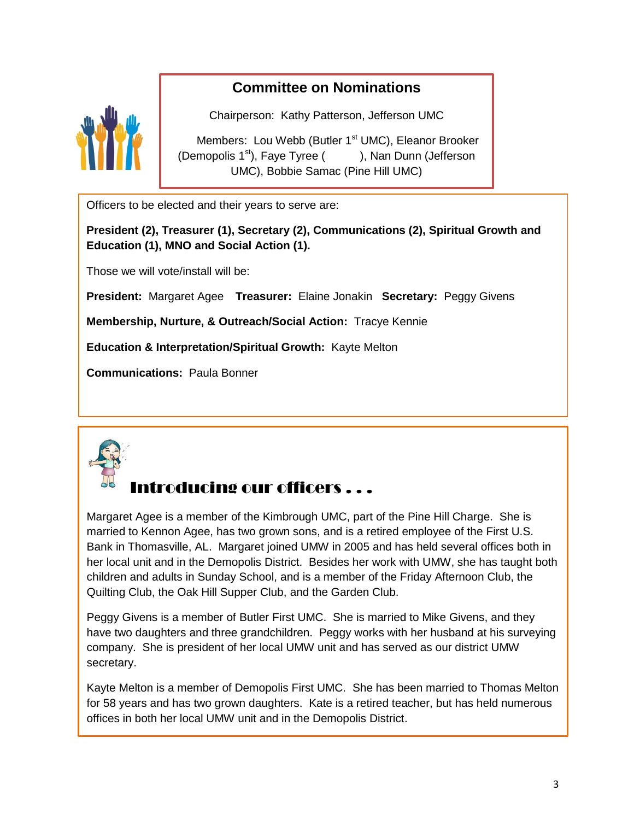### **Committee on Nominations**



Chairperson: Kathy Patterson, Jefferson UMC

Members: Lou Webb (Butler 1<sup>st</sup> UMC), Eleanor Brooker (Demopolis  $1<sup>st</sup>$ ), Faye Tyree ( ), Nan Dunn (Jefferson UMC), Bobbie Samac (Pine Hill UMC)

Officers to be elected and their years to serve are:

**President (2), Treasurer (1), Secretary (2), Communications (2), Spiritual Growth and Education (1), MNO and Social Action (1).**

Those we will vote/install will be:

**President:** Margaret Agee **Treasurer:** Elaine Jonakin **Secretary:** Peggy Givens

**Membership, Nurture, & Outreach/Social Action:** Tracye Kennie

**Education & Interpretation/Spiritual Growth:** Kayte Melton

**Communications:** Paula Bonner



### Introducing our officers . . .

Margaret Agee is a member of the Kimbrough UMC, part of the Pine Hill Charge. She is married to Kennon Agee, has two grown sons, and is a retired employee of the First U.S. Bank in Thomasville, AL. Margaret joined UMW in 2005 and has held several offices both in her local unit and in the Demopolis District. Besides her work with UMW, she has taught both children and adults in Sunday School, and is a member of the Friday Afternoon Club, the Quilting Club, the Oak Hill Supper Club, and the Garden Club.

Peggy Givens is a member of Butler First UMC. She is married to Mike Givens, and they have two daughters and three grandchildren. Peggy works with her husband at his surveying company. She is president of her local UMW unit and has served as our district UMW secretary.

Kayte Melton is a member of Demopolis First UMC. She has been married to Thomas Melton for 58 years and has two grown daughters. Kate is a retired teacher, but has held numerous offices in both her local UMW unit and in the Demopolis District.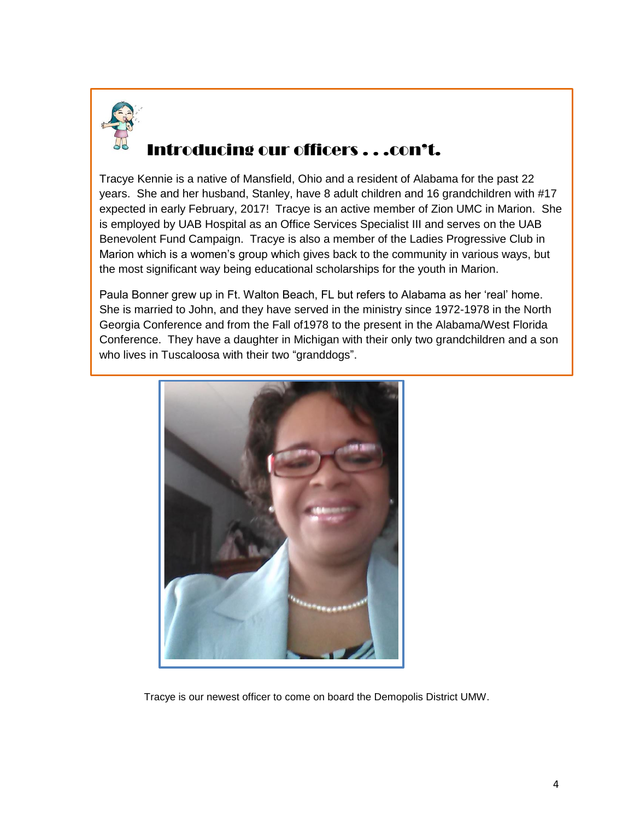

# Introducing our officers . . .con't.

Tracye Kennie is a native of Mansfield, Ohio and a resident of Alabama for the past 22 years. She and her husband, Stanley, have 8 adult children and 16 grandchildren with #17 expected in early February, 2017! Tracye is an active member of Zion UMC in Marion. She is employed by UAB Hospital as an Office Services Specialist III and serves on the UAB Benevolent Fund Campaign. Tracye is also a member of the Ladies Progressive Club in Marion which is a women's group which gives back to the community in various ways, but the most significant way being educational scholarships for the youth in Marion.

Paula Bonner grew up in Ft. Walton Beach, FL but refers to Alabama as her 'real' home. She is married to John, and they have served in the ministry since 1972-1978 in the North Georgia Conference and from the Fall of1978 to the present in the Alabama/West Florida Conference. They have a daughter in Michigan with their only two grandchildren and a son who lives in Tuscaloosa with their two "granddogs".



Tracye is our newest officer to come on board the Demopolis District UMW.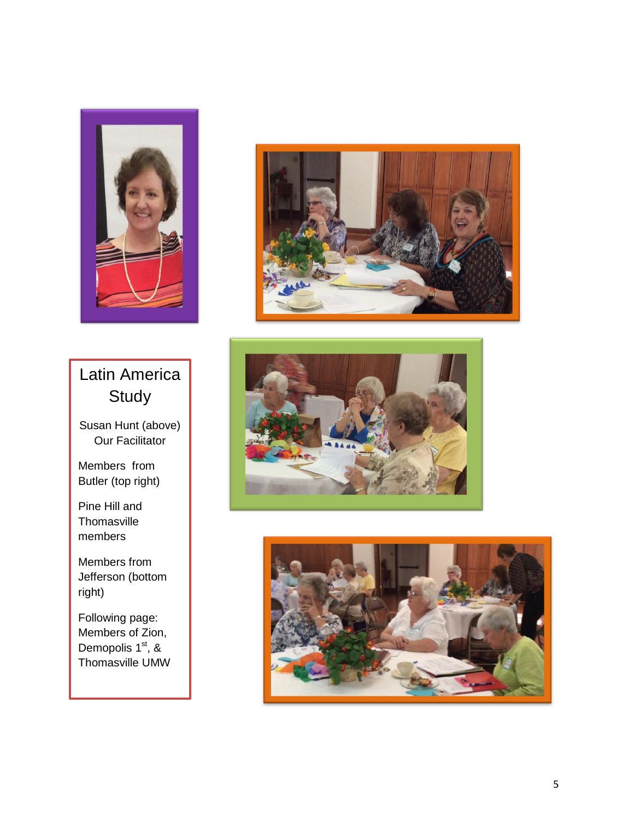

# Latin America **Study**

Susan Hunt (above) Our Facilitator

Members from Butler (top right)

Pine Hill and **Thomasville** members

Members from Jefferson (bottom right)

Following page: Members of Zion, Demopolis 1st, & Thomasville UMW





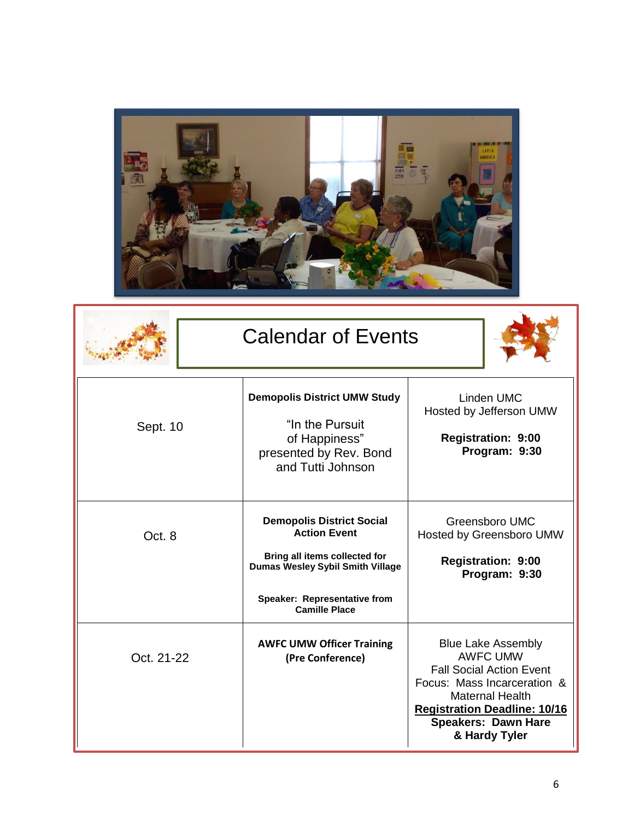

| <b>Calendar of Events</b> |                                                                                                                              |                                                                                                                                                                                                                                |
|---------------------------|------------------------------------------------------------------------------------------------------------------------------|--------------------------------------------------------------------------------------------------------------------------------------------------------------------------------------------------------------------------------|
| Sept. 10                  | <b>Demopolis District UMW Study</b><br>"In the Pursuit"<br>of Happiness"<br>presented by Rev. Bond<br>and Tutti Johnson      | Linden UMC<br>Hosted by Jefferson UMW<br><b>Registration: 9:00</b><br>Program: 9:30                                                                                                                                            |
| Oct. 8                    | <b>Demopolis District Social</b><br><b>Action Event</b><br>Bring all items collected for<br>Dumas Wesley Sybil Smith Village | Greensboro UMC<br>Hosted by Greensboro UMW<br><b>Registration: 9:00</b><br>Program: 9:30                                                                                                                                       |
|                           | Speaker: Representative from<br><b>Camille Place</b>                                                                         |                                                                                                                                                                                                                                |
| Oct. 21-22                | <b>AWFC UMW Officer Training</b><br>(Pre Conference)                                                                         | <b>Blue Lake Assembly</b><br><b>AWFC UMW</b><br><b>Fall Social Action Event</b><br>Focus: Mass Incarceration &<br><b>Maternal Health</b><br><b>Registration Deadline: 10/16</b><br><b>Speakers: Dawn Hare</b><br>& Hardy Tyler |